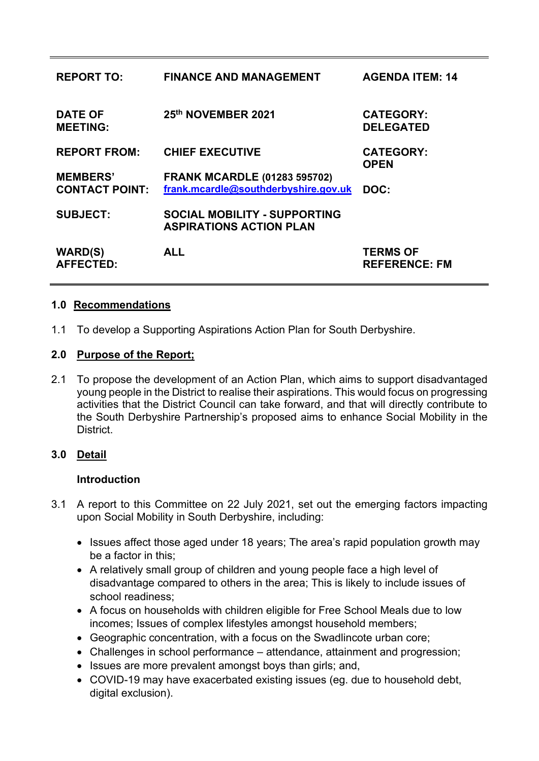| <b>REPORT TO:</b>                        | <b>FINANCE AND MANAGEMENT</b>                                               | <b>AGENDA ITEM: 14</b>                  |
|------------------------------------------|-----------------------------------------------------------------------------|-----------------------------------------|
| <b>DATE OF</b><br><b>MEETING:</b>        | 25th NOVEMBER 2021                                                          | <b>CATEGORY:</b><br><b>DELEGATED</b>    |
| <b>REPORT FROM:</b>                      | <b>CHIEF EXECUTIVE</b>                                                      | <b>CATEGORY:</b><br><b>OPEN</b>         |
| <b>MEMBERS'</b><br><b>CONTACT POINT:</b> | <b>FRANK MCARDLE (01283 595702)</b><br>frank.mcardle@southderbyshire.gov.uk | DOC:                                    |
| <b>SUBJECT:</b>                          | <b>SOCIAL MOBILITY - SUPPORTING</b><br><b>ASPIRATIONS ACTION PLAN</b>       |                                         |
| <b>WARD(S)</b><br><b>AFFECTED:</b>       | <b>ALL</b>                                                                  | <b>TERMS OF</b><br><b>REFERENCE: FM</b> |

## **1.0 Recommendations**

1.1 To develop a Supporting Aspirations Action Plan for South Derbyshire.

#### **2.0 Purpose of the Report;**

2.1 To propose the development of an Action Plan, which aims to support disadvantaged young people in the District to realise their aspirations. This would focus on progressing activities that the District Council can take forward, and that will directly contribute to the South Derbyshire Partnership's proposed aims to enhance Social Mobility in the **District** 

# **3.0 Detail**

#### **Introduction**

- 3.1 A report to this Committee on 22 July 2021, set out the emerging factors impacting upon Social Mobility in South Derbyshire, including:
	- Issues affect those aged under 18 years; The area's rapid population growth may be a factor in this;
	- A relatively small group of children and young people face a high level of disadvantage compared to others in the area; This is likely to include issues of school readiness;
	- A focus on households with children eligible for Free School Meals due to low incomes; Issues of complex lifestyles amongst household members;
	- Geographic concentration, with a focus on the Swadlincote urban core;
	- Challenges in school performance attendance, attainment and progression;
	- Issues are more prevalent amongst boys than girls; and,
	- COVID-19 may have exacerbated existing issues (eg. due to household debt, digital exclusion).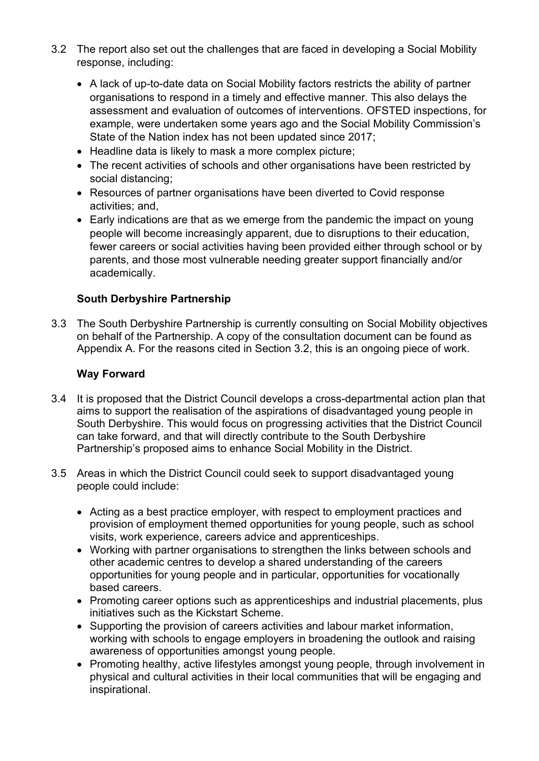- 3.2 The report also set out the challenges that are faced in developing a Social Mobility response, including:
	- A lack of up-to-date data on Social Mobility factors restricts the ability of partner organisations to respond in a timely and effective manner. This also delays the assessment and evaluation of outcomes of interventions. OFSTED inspections, for example, were undertaken some years ago and the Social Mobility Commission's State of the Nation index has not been updated since 2017;
	- Headline data is likely to mask a more complex picture;
	- The recent activities of schools and other organisations have been restricted by social distancing;
	- Resources of partner organisations have been diverted to Covid response activities; and
	- Early indications are that as we emerge from the pandemic the impact on young people will become increasingly apparent, due to disruptions to their education, fewer careers or social activities having been provided either through school or by parents, and those most vulnerable needing greater support financially and/or academically.

# **South Derbyshire Partnership**

3.3 The South Derbyshire Partnership is currently consulting on Social Mobility objectives on behalf of the Partnership. A copy of the consultation document can be found as Appendix A. For the reasons cited in Section 3.2, this is an ongoing piece of work.

# **Way Forward**

- 3.4 It is proposed that the District Council develops a cross-departmental action plan that aims to support the realisation of the aspirations of disadvantaged young people in South Derbyshire. This would focus on progressing activities that the District Council can take forward, and that will directly contribute to the South Derbyshire Partnership's proposed aims to enhance Social Mobility in the District.
- 3.5 Areas in which the District Council could seek to support disadvantaged young people could include:
	- Acting as a best practice employer, with respect to employment practices and provision of employment themed opportunities for young people, such as school visits, work experience, careers advice and apprenticeships.
	- Working with partner organisations to strengthen the links between schools and other academic centres to develop a shared understanding of the careers opportunities for young people and in particular, opportunities for vocationally based careers.
	- Promoting career options such as apprenticeships and industrial placements, plus initiatives such as the Kickstart Scheme.
	- Supporting the provision of careers activities and labour market information, working with schools to engage employers in broadening the outlook and raising awareness of opportunities amongst young people.
	- Promoting healthy, active lifestyles amongst young people, through involvement in physical and cultural activities in their local communities that will be engaging and inspirational.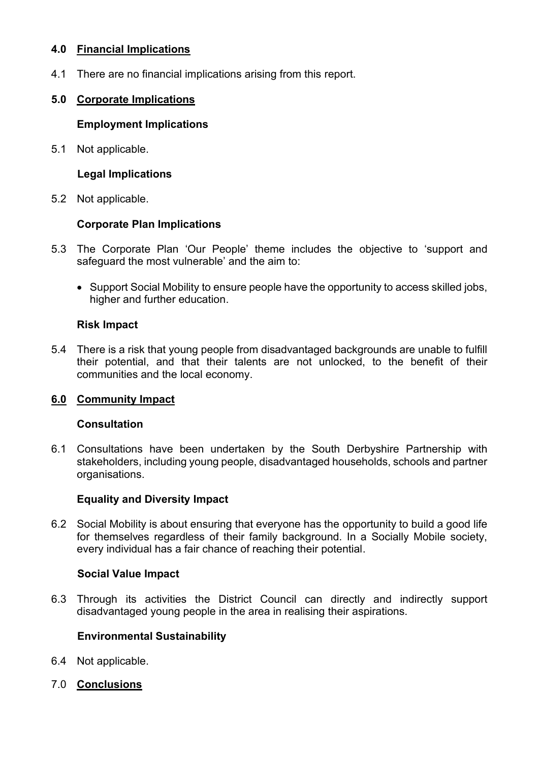### **4.0 Financial Implications**

4.1 There are no financial implications arising from this report.

## **5.0 Corporate Implications**

### **Employment Implications**

5.1 Not applicable.

### **Legal Implications**

5.2 Not applicable.

## **Corporate Plan Implications**

- 5.3 The Corporate Plan 'Our People' theme includes the objective to 'support and safeguard the most vulnerable' and the aim to:
	- Support Social Mobility to ensure people have the opportunity to access skilled jobs, higher and further education.

## **Risk Impact**

5.4 There is a risk that young people from disadvantaged backgrounds are unable to fulfill their potential, and that their talents are not unlocked, to the benefit of their communities and the local economy.

# **6.0 Community Impact**

#### **Consultation**

6.1 Consultations have been undertaken by the South Derbyshire Partnership with stakeholders, including young people, disadvantaged households, schools and partner organisations.

#### **Equality and Diversity Impact**

6.2 Social Mobility is about ensuring that everyone has the opportunity to build a good life for themselves regardless of their family background. In a Socially Mobile society, every individual has a fair chance of reaching their potential.

#### **Social Value Impact**

6.3 Through its activities the District Council can directly and indirectly support disadvantaged young people in the area in realising their aspirations.

#### **Environmental Sustainability**

- 6.4 Not applicable.
- 7.0 **Conclusions**